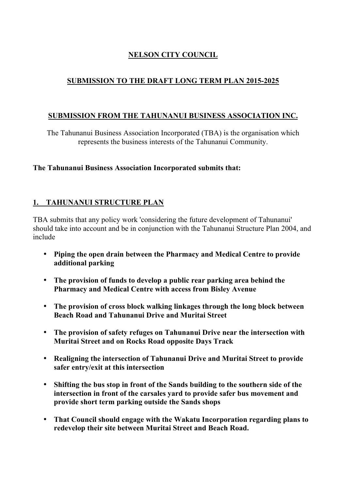# **NELSON CITY COUNCIL**

## **SUBMISSION TO THE DRAFT LONG TERM PLAN 2015-2025**

### **SUBMISSION FROM THE TAHUNANUI BUSINESS ASSOCIATION INC.**

The Tahunanui Business Association Incorporated (TBA) is the organisation which represents the business interests of the Tahunanui Community.

#### **The Tahunanui Business Association Incorporated submits that:**

### **1. TAHUNANUI STRUCTURE PLAN**

TBA submits that any policy work 'considering the future development of Tahunanui' should take into account and be in conjunction with the Tahunanui Structure Plan 2004, and include

- **Piping the open drain between the Pharmacy and Medical Centre to provide additional parking**
- **The provision of funds to develop a public rear parking area behind the Pharmacy and Medical Centre with access from Bisley Avenue**
- **The provision of cross block walking linkages through the long block between Beach Road and Tahunanui Drive and Muritai Street**
- **The provision of safety refuges on Tahunanui Drive near the intersection with Muritai Street and on Rocks Road opposite Days Track**
- **Realigning the intersection of Tahunanui Drive and Muritai Street to provide safer entry/exit at this intersection**
- **Shifting the bus stop in front of the Sands building to the southern side of the intersection in front of the carsales yard to provide safer bus movement and provide short term parking outside the Sands shops**
- **That Council should engage with the Wakatu Incorporation regarding plans to redevelop their site between Muritai Street and Beach Road.**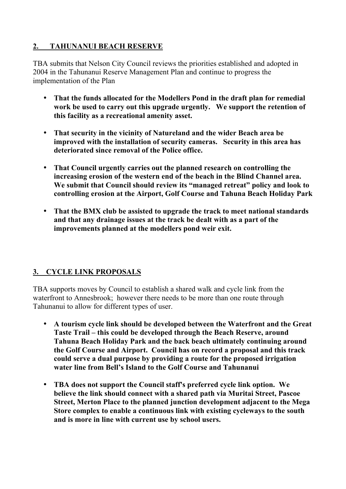## **2. TAHUNANUI BEACH RESERVE**

TBA submits that Nelson City Council reviews the priorities established and adopted in 2004 in the Tahunanui Reserve Management Plan and continue to progress the implementation of the Plan

- **That the funds allocated for the Modellers Pond in the draft plan for remedial work be used to carry out this upgrade urgently. We support the retention of this facility as a recreational amenity asset.**
- **That security in the vicinity of Natureland and the wider Beach area be improved with the installation of security cameras. Security in this area has deteriorated since removal of the Police office.**
- **That Council urgently carries out the planned research on controlling the increasing erosion of the western end of the beach in the Blind Channel area. We submit that Council should review its "managed retreat" policy and look to controlling erosion at the Airport, Golf Course and Tahuna Beach Holiday Park**
- **That the BMX club be assisted to upgrade the track to meet national standards and that any drainage issues at the track be dealt with as a part of the improvements planned at the modellers pond weir exit.**

# **3. CYCLE LINK PROPOSALS**

TBA supports moves by Council to establish a shared walk and cycle link from the waterfront to Annesbrook; however there needs to be more than one route through Tahunanui to allow for different types of user.

- **A tourism cycle link should be developed between the Waterfront and the Great Taste Trail – this could be developed through the Beach Reserve, around Tahuna Beach Holiday Park and the back beach ultimately continuing around the Golf Course and Airport. Council has on record a proposal and this track could serve a dual purpose by providing a route for the proposed irrigation water line from Bell's Island to the Golf Course and Tahunanui**
- **TBA does not support the Council staff's preferred cycle link option. We believe the link should connect with a shared path via Muritai Street, Pascoe Street, Merton Place to the planned junction development adjacent to the Mega Store complex to enable a continuous link with existing cycleways to the south and is more in line with current use by school users.**